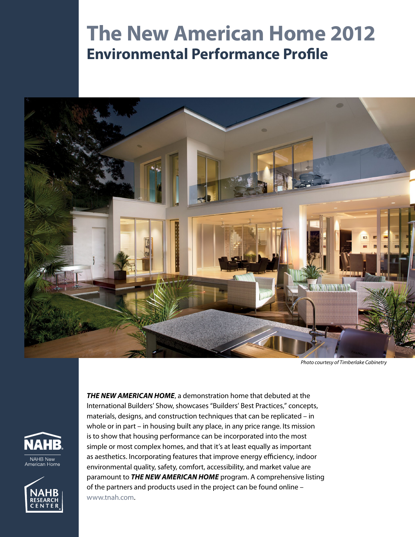# **The New American Home 2012 Environmental Performance Profile**



*Photo courtesy of Timberlake Cabinetry*





*THE NEW AMERICAN HOME*, a demonstration home that debuted at the International Builders' Show, showcases "Builders' Best Practices," concepts, materials, designs, and construction techniques that can be replicated – in whole or in part – in housing built any place, in any price range. Its mission is to show that housing performance can be incorporated into the most simple or most complex homes, and that it's at least equally as important as aesthetics. Incorporating features that improve energy efficiency, indoor environmental quality, safety, comfort, accessibility, and market value are paramount to *THE NEW AMERICAN HOME* program. A comprehensive listing of the partners and products used in the project can be found online – [www.tnah.com.](http://www.tnah.com)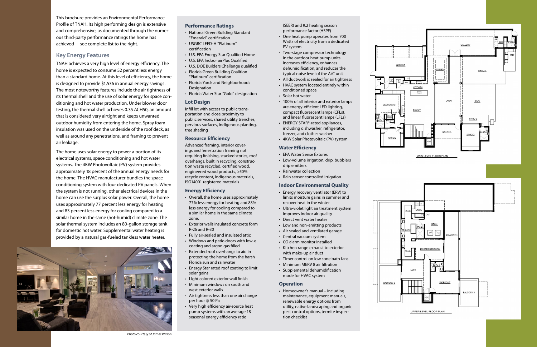## **Performance Ratings**

- National Green Building Standard "Emerald" certification
- USGBC LEED-H "Platinum" certification
- • U.S. EPA Energy Star Qualified Home
- • U.S. EPA Indoor airPlus Qualified
- U.S. DOE Builders Challenge qualified
- Florida Green Building Coalition "Platinum" certification
- Florida Yards and Neighborhoods Designation
- Florida Water Star "Gold" designation

## **Lot Design**

Infill lot with access to public transportation and close proximity to public services, shared utility trenches, pervious surfaces, indigenous planting, tree shading

## **Resource Efficiency**

Advanced framing, interior coverings and fenestration framing not requiring finishing, stacked stories, roof overhangs, built in recycling, construction waste recycled, certified wood, engineered wood products, >50% recycle content, indigenous materials, ISO14001 registered materials

## **Energy Efficiency**

- • EPA Water Sense fixtures
- • Low-volume irrigation, drip, bubblers drip emitters
- • Rainwater collection
- Rain sensor controlled irrigation

- • Overall, the home uses approximately 77% less energy for heating and 83% less energy for cooling compared to a similar home in the same climate zone.
- • Exterior walls insulated concrete form R-26 and R-30
- • Fully air-sealed and insulated attic
- Windows and patio doors with low-e coating and argon gas filled
- • Extended roof overhangs to aid in protecting the home from the harsh Florida sun and rainwater
- • Energy Star rated roof coating to limit solar gains
- Light colored exterior wall finish
- Minimum windows on south and west exterior walls
- Air tightness less than one air change per hour @ 50 Pa
- Very high efficiency air-source heat pump systems with an average 18 seasonal energy efficiency ratio

• Homeowner's manual – including maintenance, equipment manuals, renewable energy options from utility, native landscaping and organic pest control options, termite inspection checklist





(SEER) and 9.2 heating season performance factor (HSPF)

- One heat pump operates from 700 Watts of electricity from a dedicated PV system
- Two-stage compressor technology in the outdoor heat pump units increases efficiency, enhances dehumidification, and reduces the typical noise level of the A/C unit
- All ductwork is sealed for air tightness
- HVAC system located entirely within conditioned space
- • Solar hot water
- • 100% of all interior and exterior lamps are energy-efficient LED lighting, compact fluorescent lamps (CFLs), and linear fluorescent lamps (LFLs)
- ENERGY STAR®-rated appliances, including dishwasher, refrigerator, freezer, and clothes washer
- 4KW Solar Photovoltaic (PV) system

## **Water Efficiency**

## **Indoor Environmental Quality**

- • Energy recovery ventilator (ERV) to limits moisture gains in summer and recover heat in the winter
- • Ultra-violet light air treatment system improves indoor air quality
- Direct vent water heater
- Low and non-emitting products
- • Air sealed and ventilated garage
- Central vacuum system
- CO alarm monitor installed
- • Kitchen range exhaust to exterior with make-up air duct
- Timer control on low sone bath fans
- Minimum MERV 8 air filtration
- Supplemental dehumidification mode for HVAC system

#### **Operation**

This brochure provides an Environmental Performance Profile of TNAH. Its high performing design is extensive and comprehensive, as documented through the numerous third-party performance ratings the home has achieved—see complete list to the right.

## **Key Energy Features**

TNAH achieves a very high level of energy efficiency. The home is expected to consume 52 percent less energy than a standard home. At this level of efficiency, the home is designed to provide \$1,536 in annual energy savings. The most noteworthy features include the air tightness of its thermal shell and the use of solar energy for space conditioning and hot water production. Under blower door testing, the thermal shell achieves 0.35 ACH50, an amount that is considered very airtight and keeps unwanted outdoor humidity from entering the home. Spray foam insulation was used on the underside of the roof deck, as well as around any penetrations, and framing to prevent air leakage.

The home uses solar energy to power a portion of its electrical systems, space conditioning and hot water systems. The 4KW Photovoltaic (PV) system provides approximately 18 percent of the annual energy needs for the home. The HVAC manufacturer bundles the space conditioning system with four dedicated PV panels. When the system is not running, other electrical devices in the home can use the surplus solar power. Overall, the home uses approximately 77 percent less energy for heating and 83 percent less energy for cooling compared to a similar home in the same (hot-humid) climate zone. The solar thermal system includes an 80-gallon storage tank for domestic hot water. Supplemental water heating is provided by a natural gas-fueled tankless water heater.